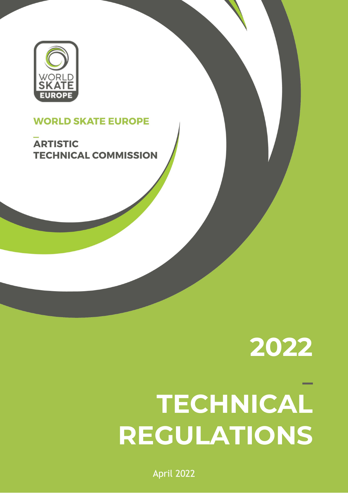

# **WORLD SKATE EUROPE**

**ARTISTIC TECHNICAL COMMISSION** 

# **2022 \_ TECHNICAL REGULATIONS**

April 2022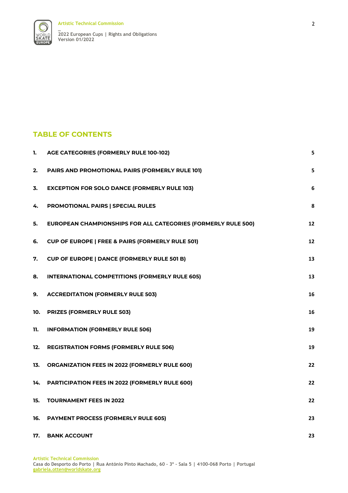



#### **TABLE OF CONTENTS**

| 1.  | AGE CATEGORIES (FORMERLY RULE 100-102)                               | 5  |
|-----|----------------------------------------------------------------------|----|
| 2.  | PAIRS AND PROMOTIONAL PAIRS (FORMERLY RULE 101)                      | 5  |
| 3.  | <b>EXCEPTION FOR SOLO DANCE (FORMERLY RULE 103)</b>                  | 6  |
| 4.  | PROMOTIONAL PAIRS   SPECIAL RULES                                    | 8  |
| 5.  | <b>EUROPEAN CHAMPIONSHIPS FOR ALL CATEGORIES (FORMERLY RULE 500)</b> | 12 |
| 6.  | <b>CUP OF EUROPE   FREE &amp; PAIRS (FORMERLY RULE 501)</b>          | 12 |
| 7.  | <b>CUP OF EUROPE   DANCE (FORMERLY RULE 501 B)</b>                   | 13 |
| 8.  | <b>INTERNATIONAL COMPETITIONS (FORMERLY RULE 605)</b>                | 13 |
| 9.  | <b>ACCREDITATION (FORMERLY RULE 503)</b>                             | 16 |
| 10. | <b>PRIZES (FORMERLY RULE 503)</b>                                    | 16 |
| 11. | <b>INFORMATION (FORMERLY RULE 506)</b>                               | 19 |
| 12. | <b>REGISTRATION FORMS (FORMERLY RULE 506)</b>                        | 19 |
| 13. | <b>ORGANIZATION FEES IN 2022 (FORMERLY RULE 600)</b>                 | 22 |
| 14. | PARTICIPATION FEES IN 2022 (FORMERLY RULE 600)                       | 22 |
| 15. | <b>TOURNAMENT FEES IN 2022</b>                                       | 22 |
| 16. | <b>PAYMENT PROCESS (FORMERLY RULE 605)</b>                           | 23 |
| 17. | <b>BANK ACCOUNT</b>                                                  | 23 |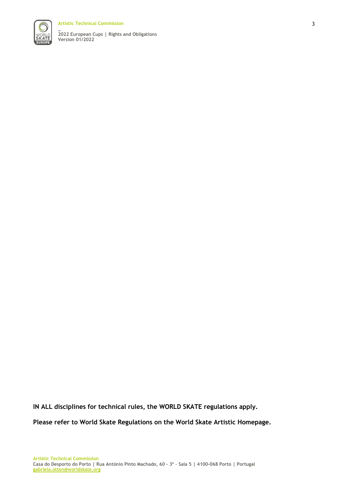**Artistic Technical Commission**



**\_ 2022 European Cups | Rights and Obligations Version 01/2022**

**IN ALL disciplines for technical rules, the WORLD SKATE regulations apply.**

**Please refer to World Skate Regulations on the World Skate Artistic Homepage.**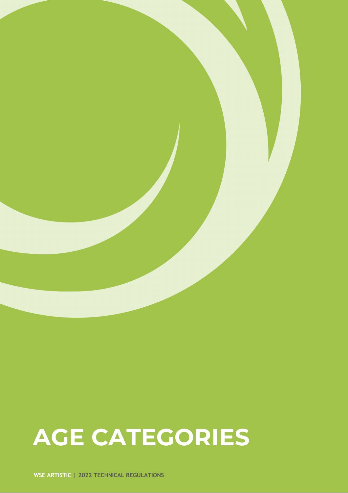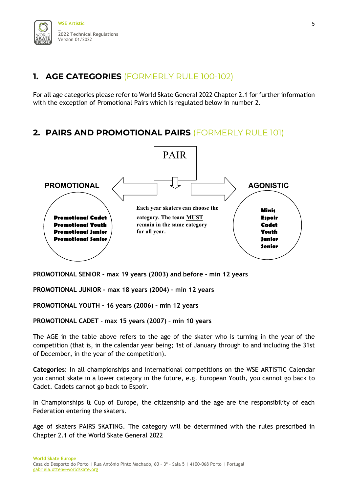# <span id="page-4-0"></span>**1. AGE CATEGORIES** (FORMERLY RULE 100-102)

For all age categories please refer to World Skate General 2022 Chapter 2.1 for further information with the exception of Promotional Pairs which is regulated below in number 2.

### <span id="page-4-1"></span>**2. PAIRS AND PROMOTIONAL PAIRS** (FORMERLY RULE 101)



**PROMOTIONAL SENIOR - max 19 years (2003) and before - min 12 years** 

**PROMOTIONAL JUNIOR - max 18 years (2004) – min 12 years** 

**PROMOTIONAL YOUTH - 16 years (2006) – min 12 years** 

**PROMOTIONAL CADET - max 15 years (2007) – min 10 years** 

The AGE in the table above refers to the age of the skater who is turning in the year of the competition (that is, in the calendar year being; 1st of January through to and including the 31st of December, in the year of the competition).

**Categories**: In all championships and international competitions on the WSE ARTISTIC Calendar you cannot skate in a lower category in the future, e.g. European Youth, you cannot go back to Cadet. Cadets cannot go back to Espoir.

In Championships & Cup of Europe, the citizenship and the age are the responsibility of each Federation entering the skaters.

Age of skaters PAIRS SKATING. The category will be determined with the rules prescribed in Chapter 2.1 of the World Skate General 2022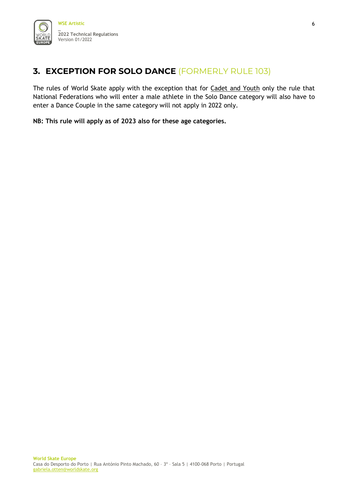## <span id="page-5-0"></span>**3. EXCEPTION FOR SOLO DANCE** (FORMERLY RULE 103)

The rules of World Skate apply with the exception that for Cadet and Youth only the rule that National Federations who will enter a male athlete in the Solo Dance category will also have to enter a Dance Couple in the same category will not apply in 2022 only.

**NB: This rule will apply as of 2023 also for these age categories.**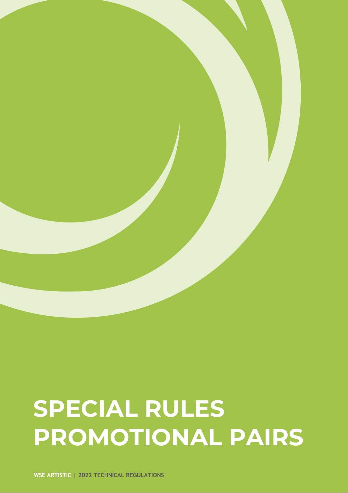# **SPECIAL RULES PROMOTIONAL PAIRS**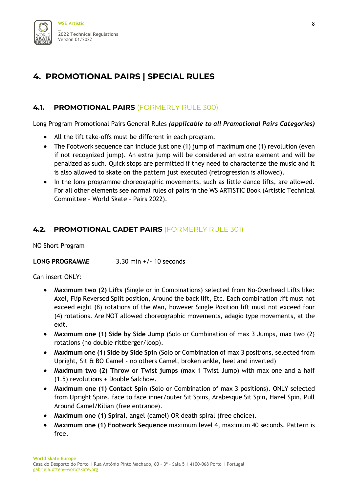

# <span id="page-7-0"></span>**4. PROMOTIONAL PAIRS | SPECIAL RULES**

#### **4.1. PROMOTIONAL PAIRS** (FORMERLY RULE 300)

Long Program Promotional Pairs General Rules *(applicable to all Promotional Pairs Categories)*

- All the lift take-offs must be different in each program.
- The Footwork sequence can include just one (1) jump of maximum one (1) revolution (even if not recognized jump). An extra jump will be considered an extra element and will be penalized as such. Quick stops are permitted if they need to characterize the music and it is also allowed to skate on the pattern just executed (retrogression is allowed).
- In the long programme choreographic movements, such as little dance lifts, are allowed. For all other elements see normal rules of pairs in the WS ARTISTIC Book (Artistic Technical Committee – World Skate – Pairs 2022).

#### **4.2. PROMOTIONAL CADET PAIRS** (FORMERLY RULE 301)

NO Short Program

**LONG PROGRAMME** 3.30 min +/- 10 seconds

Can insert ONLY:

- **Maximum two (2) Lifts** (Single or in Combinations) selected from No-Overhead Lifts like: Axel, Flip Reversed Split position, Around the back lift, Etc. Each combination lift must not exceed eight (8) rotations of the Man, however Single Position lift must not exceed four (4) rotations. Are NOT allowed choreographic movements, adagio type movements, at the exit.
- **Maximum one (1) Side by Side Jump** (Solo or Combination of max 3 Jumps, max two (2) rotations (no double rittberger/loop).
- **Maximum one (1) Side by Side Spin** (Solo or Combination of max 3 positions, selected from Upright, Sit & BO Camel - no others Camel, broken ankle, heel and inverted)
- **Maximum two (2) Throw or Twist jumps** (max 1 Twist Jump) with max one and a half (1.5) revolutions + Double Salchow.
- **Maximum one (1) Contact Spin** (Solo or Combination of max 3 positions). ONLY selected from Upright Spins, face to face inner/outer Sit Spins, Arabesque Sit Spin, Hazel Spin, Pull Around Camel/Kilian (free entrance).
- **Maximum one (1) Spiral**, angel (camel) OR death spiral (free choice).
- **Maximum one (1) Footwork Sequence** maximum level 4, maximum 40 seconds. Pattern is free.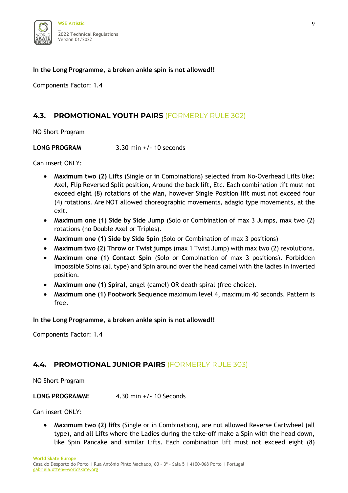

#### **In the Long Programme, a broken ankle spin is not allowed!!**

Components Factor: 1.4

#### **4.3. PROMOTIONAL YOUTH PAIRS** (FORMERLY RULE 302)

NO Short Program

**LONG PROGRAM** 3.30 min +/- 10 seconds

Can insert ONLY:

- **Maximum two (2) Lifts** (Single or in Combinations) selected from No-Overhead Lifts like: Axel, Flip Reversed Split position, Around the back lift, Etc. Each combination lift must not exceed eight (8) rotations of the Man, however Single Position lift must not exceed four (4) rotations. Are NOT allowed choreographic movements, adagio type movements, at the exit.
- **Maximum one (1) Side by Side Jump** (Solo or Combination of max 3 Jumps, max two (2) rotations (no Double Axel or Triples).
- **Maximum one (1) Side by Side Spin** (Solo or Combination of max 3 positions)
- **Maximum two (2) Throw or Twist jumps** (max 1 Twist Jump) with max two (2) revolutions.
- **Maximum one (1) Contact Spin** (Solo or Combination of max 3 positions). Forbidden Impossible Spins (all type) and Spin around over the head camel with the ladies in inverted position.
- **Maximum one (1) Spiral**, angel (camel) OR death spiral (free choice).
- **Maximum one (1) Footwork Sequence** maximum level 4, maximum 40 seconds. Pattern is free.

**In the Long Programme, a broken ankle spin is not allowed!!** 

Components Factor: 1.4

#### **4.4. PROMOTIONAL JUNIOR PAIRS** (FORMERLY RULE 303)

NO Short Program

**LONG PROGRAMME** 4.30 min +/- 10 Seconds

Can insert ONLY:

• **Maximum two (2) lifts** (Single or in Combination), are not allowed Reverse Cartwheel (all type), and all Lifts where the Ladies during the take-off make a Spin with the head down, like Spin Pancake and similar Lifts. Each combination lift must not exceed eight (8)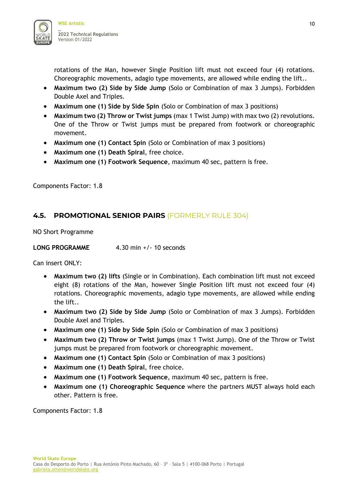

rotations of the Man, however Single Position lift must not exceed four (4) rotations. Choreographic movements, adagio type movements, are allowed while ending the lift..

- **Maximum two (2) Side by Side Jump** (Solo or Combination of max 3 Jumps). Forbidden Double Axel and Triples.
- **Maximum one (1) Side by Side Spin** (Solo or Combination of max 3 positions)
- **Maximum two (2) Throw or Twist jumps** (max 1 Twist Jump) with max two (2) revolutions. One of the Throw or Twist jumps must be prepared from footwork or choreographic movement.
- **Maximum one (1) Contact Spin** (Solo or Combination of max 3 positions)
- **Maximum one (1) Death Spiral**, free choice.
- **Maximum one (1) Footwork Sequence**, maximum 40 sec, pattern is free.

Components Factor: 1.8

#### **4.5. PROMOTIONAL SENIOR PAIRS** (FORMERLY RULE 304)

NO Short Programme

**LONG PROGRAMME** 4.30 min +/- 10 seconds

Can insert ONLY:

- **Maximum two (2) lifts** (Single or in Combination). Each combination lift must not exceed eight (8) rotations of the Man, however Single Position lift must not exceed four (4) rotations. Choreographic movements, adagio type movements, are allowed while ending the lift..
- **Maximum two (2) Side by Side Jump** (Solo or Combination of max 3 Jumps). Forbidden Double Axel and Triples.
- **Maximum one (1) Side by Side Spin** (Solo or Combination of max 3 positions)
- **Maximum two (2) Throw or Twist jumps** (max 1 Twist Jump). One of the Throw or Twist jumps must be prepared from footwork or choreographic movement.
- **Maximum one (1) Contact Spin** (Solo or Combination of max 3 positions)
- **Maximum one (1) Death Spiral**, free choice.
- **Maximum one (1) Footwork Sequence**, maximum 40 sec, pattern is free.
- **Maximum one (1) Choreographic Sequence** where the partners MUST always hold each other. Pattern is free.

Components Factor: 1.8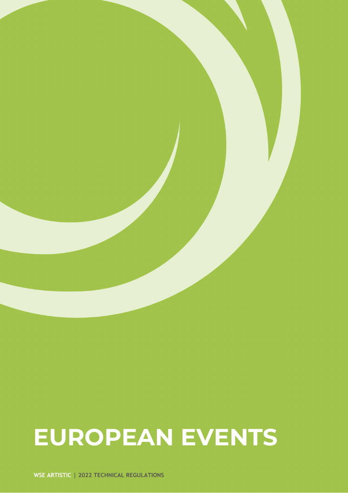# **EUROPEAN EVENTS**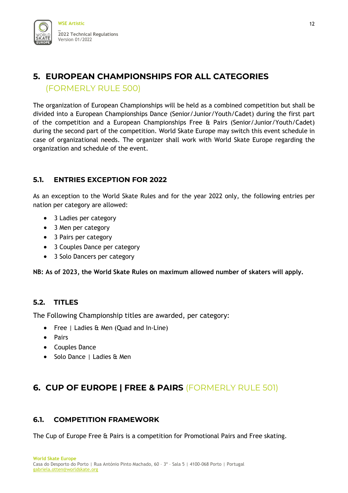# <span id="page-11-0"></span>**5. EUROPEAN CHAMPIONSHIPS FOR ALL CATEGORIES** (FORMERLY RULE 500)

The organization of European Championships will be held as a combined competition but shall be divided into a European Championships Dance (Senior/Junior/Youth/Cadet) during the first part of the competition and a European Championships Free & Pairs (Senior/Junior/Youth/Cadet) during the second part of the competition. World Skate Europe may switch this event schedule in case of organizational needs. The organizer shall work with World Skate Europe regarding the organization and schedule of the event.

#### **5.1. ENTRIES EXCEPTION FOR 2022**

As an exception to the World Skate Rules and for the year 2022 only, the following entries per nation per category are allowed:

- 3 Ladies per category
- 3 Men per category
- 3 Pairs per category
- 3 Couples Dance per category
- 3 Solo Dancers per category

**NB: As of 2023, the World Skate Rules on maximum allowed number of skaters will apply.** 

#### **5.2. TITLES**

The Following Championship titles are awarded, per category:

- Free | Ladies & Men (Quad and In-Line)
- Pairs
- Couples Dance
- Solo Dance | Ladies & Men

# <span id="page-11-1"></span>**6. CUP OF EUROPE | FREE & PAIRS** (FORMERLY RULE 501)

#### **6.1. COMPETITION FRAMEWORK**

The Cup of Europe Free & Pairs is a competition for Promotional Pairs and Free skating.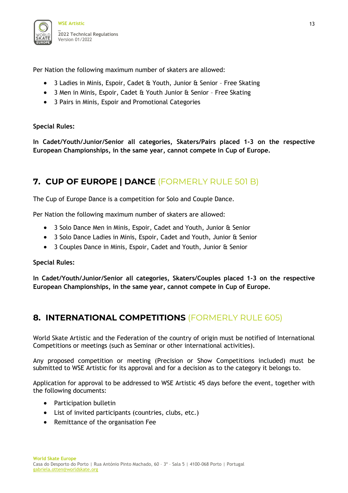

Per Nation the following maximum number of skaters are allowed:

- 3 Ladies in Minis, Espoir, Cadet & Youth, Junior & Senior Free Skating
- 3 Men in Minis, Espoir, Cadet & Youth Junior & Senior Free Skating
- 3 Pairs in Minis, Espoir and Promotional Categories

#### **Special Rules:**

**In Cadet/Youth/Junior/Senior all categories, Skaters/Pairs placed 1-3 on the respective European Championships, in the same year, cannot compete in Cup of Europe.** 

## <span id="page-12-0"></span>**7. CUP OF EUROPE | DANCE** (FORMERLY RULE 501 B)

The Cup of Europe Dance is a competition for Solo and Couple Dance.

Per Nation the following maximum number of skaters are allowed:

- 3 Solo Dance Men in Minis, Espoir, Cadet and Youth, Junior & Senior
- 3 Solo Dance Ladies in Minis, Espoir, Cadet and Youth, Junior & Senior
- 3 Couples Dance in Minis, Espoir, Cadet and Youth, Junior & Senior

**Special Rules:** 

**In Cadet/Youth/Junior/Senior all categories, Skaters/Couples placed 1-3 on the respective European Championships, in the same year, cannot compete in Cup of Europe.**

#### <span id="page-12-1"></span>**8. INTERNATIONAL COMPETITIONS** (FORMERLY RULE 605)

World Skate Artistic and the Federation of the country of origin must be notified of International Competitions or meetings (such as Seminar or other international activities).

Any proposed competition or meeting (Precision or Show Competitions included) must be submitted to WSE Artistic for its approval and for a decision as to the category it belongs to.

Application for approval to be addressed to WSE Artistic 45 days before the event, together with the following documents:

- Participation bulletin
- List of invited participants (countries, clubs, etc.)
- Remittance of the organisation Fee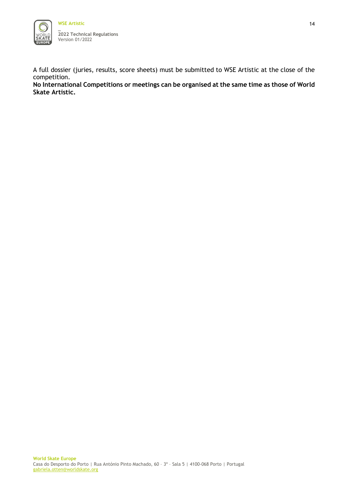

A full dossier (juries, results, score sheets) must be submitted to WSE Artistic at the close of the competition.

**No International Competitions or meetings can be organised at the same time as those of World Skate Artistic.**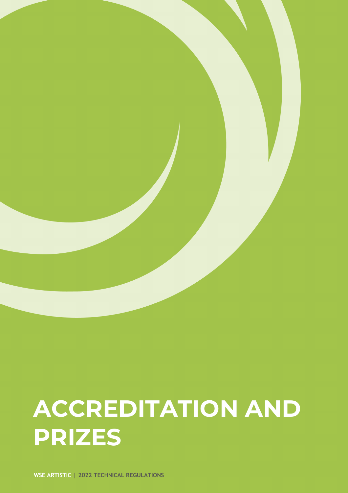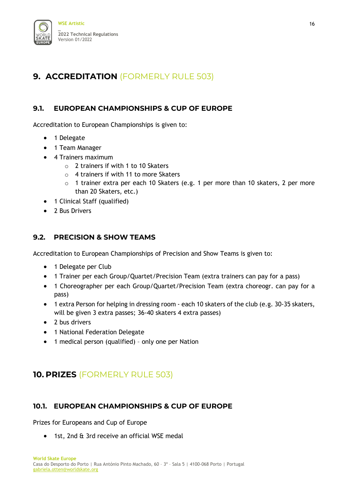

# <span id="page-15-0"></span>**9. ACCREDITATION** (FORMERLY RULE 503)

#### **9.1. EUROPEAN CHAMPIONSHIPS & CUP OF EUROPE**

Accreditation to European Championships is given to:

- 1 Delegate
- 1 Team Manager
- 4 Trainers maximum
	- $\circ$  2 trainers if with 1 to 10 Skaters
	- $\circ$  4 trainers if with 11 to more Skaters
	- o 1 trainer extra per each 10 Skaters (e.g. 1 per more than 10 skaters, 2 per more than 20 Skaters, etc.)
- 1 Clinical Staff (qualified)
- 2 Bus Drivers

#### **9.2. PRECISION & SHOW TEAMS**

Accreditation to European Championships of Precision and Show Teams is given to:

- 1 Delegate per Club
- 1 Trainer per each Group/Quartet/Precision Team (extra trainers can pay for a pass)
- 1 Choreographer per each Group/Quartet/Precision Team (extra choreogr. can pay for a pass)
- 1 extra Person for helping in dressing room each 10 skaters of the club (e.g. 30-35 skaters, will be given 3 extra passes; 36-40 skaters 4 extra passes)
- 2 bus drivers
- 1 National Federation Delegate
- 1 medical person (qualified) only one per Nation

## <span id="page-15-1"></span>**10. PRIZES** (FORMERLY RULE 503)

#### **10.1. EUROPEAN CHAMPIONSHIPS & CUP OF EUROPE**

Prizes for Europeans and Cup of Europe

• 1st, 2nd & 3rd receive an official WSE medal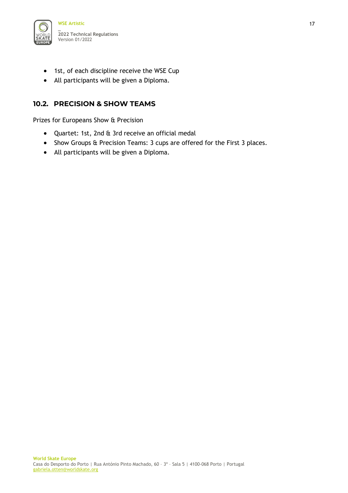

- 1st, of each discipline receive the WSE Cup
- All participants will be given a Diploma.

#### **10.2. PRECISION & SHOW TEAMS**

Prizes for Europeans Show & Precision

- Quartet: 1st, 2nd & 3rd receive an official medal
- Show Groups & Precision Teams: 3 cups are offered for the First 3 places.
- All participants will be given a Diploma.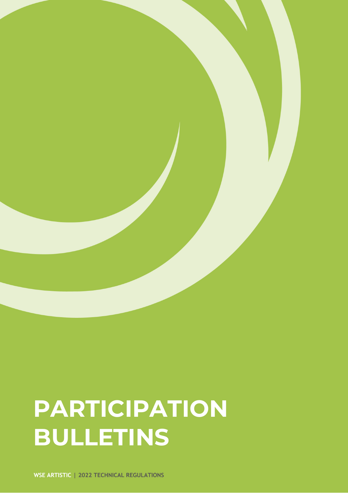# **PARTICIPATION BULLETINS**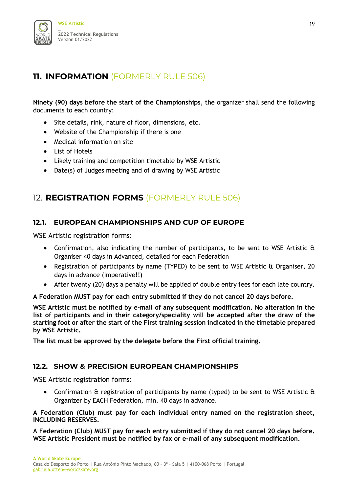

# <span id="page-18-0"></span>**11. INFORMATION** (FORMERLY RULE 506)

**Ninety (90) days before the start of the Championships**, the organizer shall send the following documents to each country:

- Site details, rink, nature of floor, dimensions, etc.
- Website of the Championship if there is one
- Medical information on site
- List of Hotels
- Likely training and competition timetable by WSE Artistic
- Date(s) of Judges meeting and of drawing by WSE Artistic

### <span id="page-18-1"></span>12. **REGISTRATION FORMS** (FORMERLY RULE 506)

#### **12.1. EUROPEAN CHAMPIONSHIPS AND CUP OF EUROPE**

WSE Artistic registration forms:

- Confirmation, also indicating the number of participants, to be sent to WSE Artistic & Organiser 40 days in Advanced, detailed for each Federation
- Registration of participants by name (TYPED) to be sent to WSE Artistic & Organiser, 20 days in advance (Imperative!!)
- After twenty (20) days a penalty will be applied of double entry fees for each late country.

**A Federation MUST pay for each entry submitted if they do not cancel 20 days before.**

**WSE Artistic must be notified by e-mail of any subsequent modification. No alteration in the list of participants and in their category/speciality will be accepted after the draw of the starting foot or after the start of the First training session indicated in the timetable prepared by WSE Artistic.** 

**The list must be approved by the delegate before the First official training.** 

#### **12.2. SHOW & PRECISION EUROPEAN CHAMPIONSHIPS**

WSE Artistic registration forms:

• Confirmation & registration of participants by name (typed) to be sent to WSE Artistic & Organizer by EACH Federation, min. 40 days in advance.

**A Federation (Club) must pay for each individual entry named on the registration sheet, INCLUDING RESERVES.** 

**A Federation (Club) MUST pay for each entry submitted if they do not cancel 20 days before. WSE Artistic President must be notified by fax or e-mail of any subsequent modification.**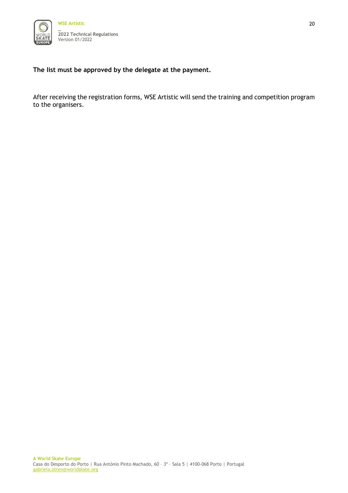

**The list must be approved by the delegate at the payment.** 

After receiving the registration forms, WSE Artistic will send the training and competition program to the organisers.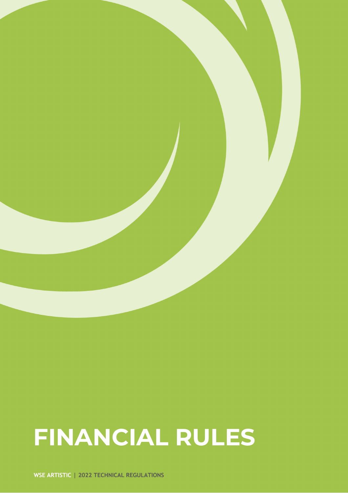# **FINANCIAL RULES**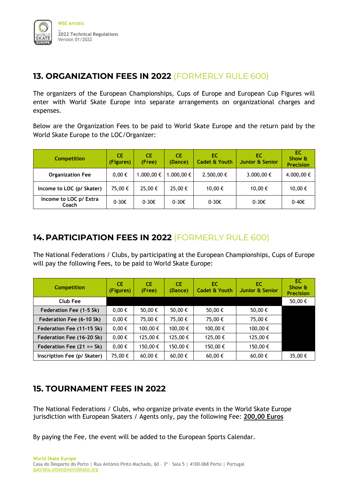

## <span id="page-21-0"></span>**13. ORGANIZATION FEES IN 2022** (FORMERLY RULE 600)

The organizers of the European Championships, Cups of Europe and European Cup Figures will enter with World Skate Europe into separate arrangements on organizational charges and expenses.

Below are the Organization Fees to be paid to World Skate Europe and the return paid by the World Skate Europe to the LOC/Organizer:

| <b>Competition</b>              | СE<br>(Figures) | <b>CE</b><br>(Free) | CE<br>(Dance)   | EC.<br><b>Cadet &amp; Youth</b> | EС<br>Junior & Senior | EC<br>Show &<br><b>Precision</b> |
|---------------------------------|-----------------|---------------------|-----------------|---------------------------------|-----------------------|----------------------------------|
| <b>Organization Fee</b>         | $0,00 \in$      | 1.000,00 €          | .000,00 €       | 2.500,00 €                      | 3.000,00 €            | 4.000,00 €                       |
| Income to LOC (p/ Skater)       | 75,00 €         | 25,00€              | 25,00€          | 10,00 €                         | 10,00 €               | 10,00€                           |
| Income to LOC p/ Extra<br>Coach | $0-30 \epsilon$ | $0-30 \epsilon$     | $0-30 \epsilon$ | $0-30 \epsilon$                 | $0-30 \epsilon$       | 0-40€                            |

# <span id="page-21-1"></span>**14. PARTICIPATION FEES IN 2022** (FORMERLY RULE 600)

The National Federations / Clubs, by participating at the European Championships, Cups of Europe will pay the following Fees, to be paid to World Skate Europe:

| <b>Competition</b>          | CE.<br>(Figures) | <b>CE</b><br>(Free) | <b>CE</b><br>(Dance) | EC.<br>Cadet & Youth | EC.<br>Junior & Senior | EC.<br>Show &<br><b>Precision</b> |
|-----------------------------|------------------|---------------------|----------------------|----------------------|------------------------|-----------------------------------|
| Club Fee                    |                  |                     |                      |                      |                        | 50,00€                            |
| Federation Fee (1-5 Sk)     | $0,00 \in$       | 50,00 €             | 50,00 €              | 50,00 €              | 50,00 €                |                                   |
| Federation Fee (6-10 Sk)    | $0,00 \in$       | 75,00€              | 75,00 €              | 75,00€               | 75,00€                 |                                   |
| Federation Fee (11-15 Sk)   | $0,00 \in$       | 100,00 €            | 100,00 €             | 100,00€              | 100,00 €               |                                   |
| Federation Fee (16-20 Sk)   | $0,00 \in$       | 125,00€             | 125,00 €             | 125,00€              | 125,00€                |                                   |
| Federation Fee $(21 = Sk)$  | $0,00 \in$       | 150,00 €            | 150,00 €             | 150,00€              | 150,00€                |                                   |
| Inscription Fee (p/ Skater) | 75,00 €          | 60,00 €             | 60,00 €              | 60,00€               | 60,00€                 | 35,00€                            |

## <span id="page-21-2"></span>**15. TOURNAMENT FEES IN 2022**

The National Federations / Clubs, who organize private events in the World Skate Europe jurisdiction with European Skaters / Agents only, pay the following Fee: **200,00 Euros**

By paying the Fee, the event will be added to the European Sports Calendar.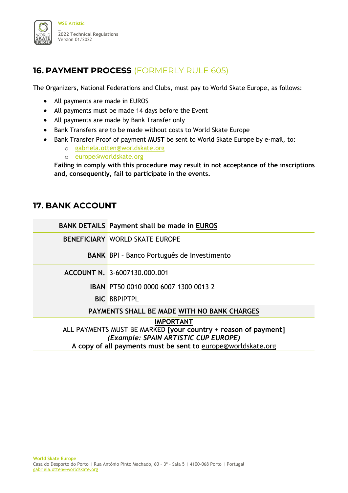

# <span id="page-22-0"></span>**16. PAYMENT PROCESS** (FORMERLY RULE 605)

The Organizers, National Federations and Clubs, must pay to World Skate Europe, as follows:

- All payments are made in EUROS
- All payments must be made 14 days before the Event
- All payments are made by Bank Transfer only
- Bank Transfers are to be made without costs to World Skate Europe
- Bank Transfer Proof of payment **MUST** be sent to World Skate Europe by e-mail, to:
	- o [gabriela.otten@worldskate.org](mailto:gabriela.otten@worldskate.org)
	- o [europe@worldskate.org](mailto:europe@worldskate.org)

**Failing in comply with this procedure may result in not acceptance of the inscriptions and, consequently, fail to participate in the events.**

### <span id="page-22-1"></span>**17. BANK ACCOUNT**

|                                                                | <b>BANK DETAILS Payment shall be made in EUROS</b> |  |  |  |  |  |
|----------------------------------------------------------------|----------------------------------------------------|--|--|--|--|--|
|                                                                | <b>BENEFICIARY WORLD SKATE EUROPE</b>              |  |  |  |  |  |
|                                                                | <b>BANK BPI - Banco Português de Investimento</b>  |  |  |  |  |  |
|                                                                | ACCOUNT N. 3-6007130.000.001                       |  |  |  |  |  |
|                                                                | <b>IBAN PT50 0010 0000 6007 1300 0013 2</b>        |  |  |  |  |  |
|                                                                | <b>BIC BBPIPTPL</b>                                |  |  |  |  |  |
| PAYMENTS SHALL BE MADE WITH NO BANK CHARGES                    |                                                    |  |  |  |  |  |
| <b>IMPORTANT</b>                                               |                                                    |  |  |  |  |  |
| ALL PAYMENTS MUST BE MARKED [your country + reason of payment] |                                                    |  |  |  |  |  |
| (Example: SPAIN ARTISTIC CUP EUROPE)                           |                                                    |  |  |  |  |  |
| A copy of all payments must be sent to europe@worldskate.org   |                                                    |  |  |  |  |  |